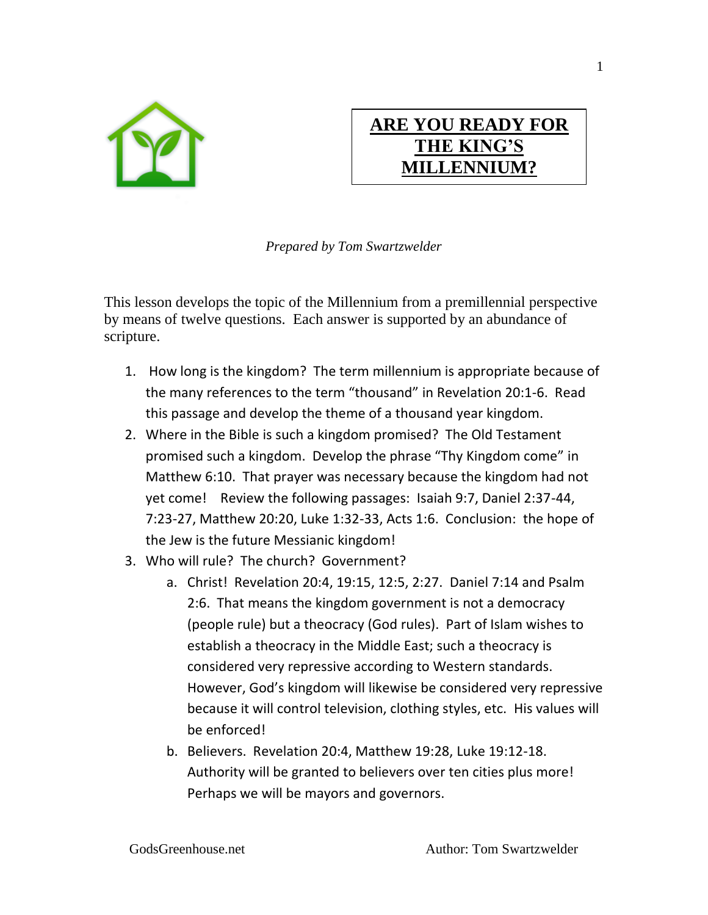

## **ARE YOU READY FOR THE KING'S MILLENNIUM?**

*Prepared by Tom Swartzwelder* 

This lesson develops the topic of the Millennium from a premillennial perspective by means of twelve questions. Each answer is supported by an abundance of scripture.

- 1. How long is the kingdom? The term millennium is appropriate because of the many references to the term "thousand" in Revelation 20:1-6. Read this passage and develop the theme of a thousand year kingdom.
- 2. Where in the Bible is such a kingdom promised? The Old Testament promised such a kingdom. Develop the phrase "Thy Kingdom come" in Matthew 6:10. That prayer was necessary because the kingdom had not yet come! Review the following passages: Isaiah 9:7, Daniel 2:37-44, 7:23-27, Matthew 20:20, Luke 1:32-33, Acts 1:6. Conclusion: the hope of the Jew is the future Messianic kingdom!
- 3. Who will rule? The church? Government?
	- a. Christ! Revelation 20:4, 19:15, 12:5, 2:27. Daniel 7:14 and Psalm 2:6. That means the kingdom government is not a democracy (people rule) but a theocracy (God rules). Part of Islam wishes to establish a theocracy in the Middle East; such a theocracy is considered very repressive according to Western standards. However, God's kingdom will likewise be considered very repressive because it will control television, clothing styles, etc. His values will be enforced!
	- b. Believers. Revelation 20:4, Matthew 19:28, Luke 19:12-18. Authority will be granted to believers over ten cities plus more! Perhaps we will be mayors and governors.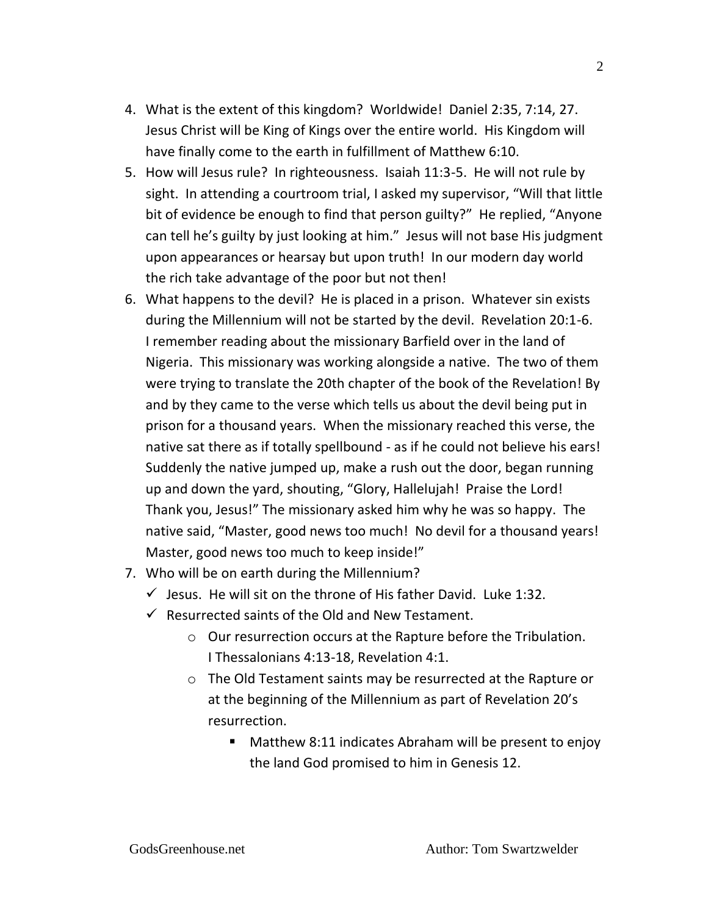- 4. What is the extent of this kingdom? Worldwide! Daniel 2:35, 7:14, 27. Jesus Christ will be King of Kings over the entire world. His Kingdom will have finally come to the earth in fulfillment of Matthew 6:10.
- 5. How will Jesus rule? In righteousness. Isaiah 11:3-5. He will not rule by sight. In attending a courtroom trial, I asked my supervisor, "Will that little bit of evidence be enough to find that person guilty?" He replied, "Anyone can tell he's guilty by just looking at him." Jesus will not base His judgment upon appearances or hearsay but upon truth! In our modern day world the rich take advantage of the poor but not then!
- 6. What happens to the devil? He is placed in a prison. Whatever sin exists during the Millennium will not be started by the devil. Revelation 20:1-6. I remember reading about the missionary Barfield over in the land of Nigeria. This missionary was working alongside a native. The two of them were trying to translate the 20th chapter of the book of the Revelation! By and by they came to the verse which tells us about the devil being put in prison for a thousand years. When the missionary reached this verse, the native sat there as if totally spellbound - as if he could not believe his ears! Suddenly the native jumped up, make a rush out the door, began running up and down the yard, shouting, "Glory, Hallelujah! Praise the Lord! Thank you, Jesus!" The missionary asked him why he was so happy. The native said, "Master, good news too much! No devil for a thousand years! Master, good news too much to keep inside!"
- 7. Who will be on earth during the Millennium?
	- $\checkmark$  Jesus. He will sit on the throne of His father David. Luke 1:32.
	- $\checkmark$  Resurrected saints of the Old and New Testament.
		- o Our resurrection occurs at the Rapture before the Tribulation. I Thessalonians 4:13-18, Revelation 4:1.
		- o The Old Testament saints may be resurrected at the Rapture or at the beginning of the Millennium as part of Revelation 20's resurrection.
			- Matthew 8:11 indicates Abraham will be present to enjoy the land God promised to him in Genesis 12.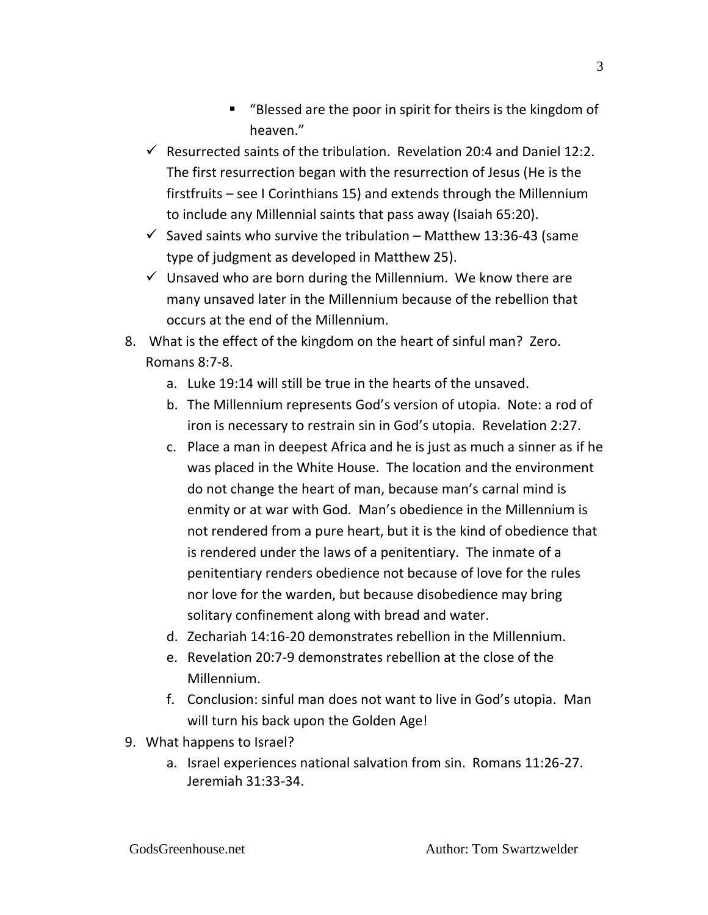- "Blessed are the poor in spirit for theirs is the kingdom of heaven."
- $\checkmark$  Resurrected saints of the tribulation. Revelation 20:4 and Daniel 12:2. The first resurrection began with the resurrection of Jesus (He is the firstfruits – see I Corinthians 15) and extends through the Millennium to include any Millennial saints that pass away (Isaiah 65:20).
- $\checkmark$  Saved saints who survive the tribulation Matthew 13:36-43 (same type of judgment as developed in Matthew 25).
- $\checkmark$  Unsaved who are born during the Millennium. We know there are many unsaved later in the Millennium because of the rebellion that occurs at the end of the Millennium.
- 8. What is the effect of the kingdom on the heart of sinful man? Zero. Romans 8:7-8.
	- a. Luke 19:14 will still be true in the hearts of the unsaved.
	- b. The Millennium represents God's version of utopia. Note: a rod of iron is necessary to restrain sin in God's utopia. Revelation 2:27.
	- c. Place a man in deepest Africa and he is just as much a sinner as if he was placed in the White House. The location and the environment do not change the heart of man, because man's carnal mind is enmity or at war with God. Man's obedience in the Millennium is not rendered from a pure heart, but it is the kind of obedience that is rendered under the laws of a penitentiary. The inmate of a penitentiary renders obedience not because of love for the rules nor love for the warden, but because disobedience may bring solitary confinement along with bread and water.
	- d. Zechariah 14:16-20 demonstrates rebellion in the Millennium.
	- e. Revelation 20:7-9 demonstrates rebellion at the close of the Millennium.
	- f. Conclusion: sinful man does not want to live in God's utopia. Man will turn his back upon the Golden Age!
- 9. What happens to Israel?
	- a. Israel experiences national salvation from sin. Romans 11:26-27. Jeremiah 31:33-34.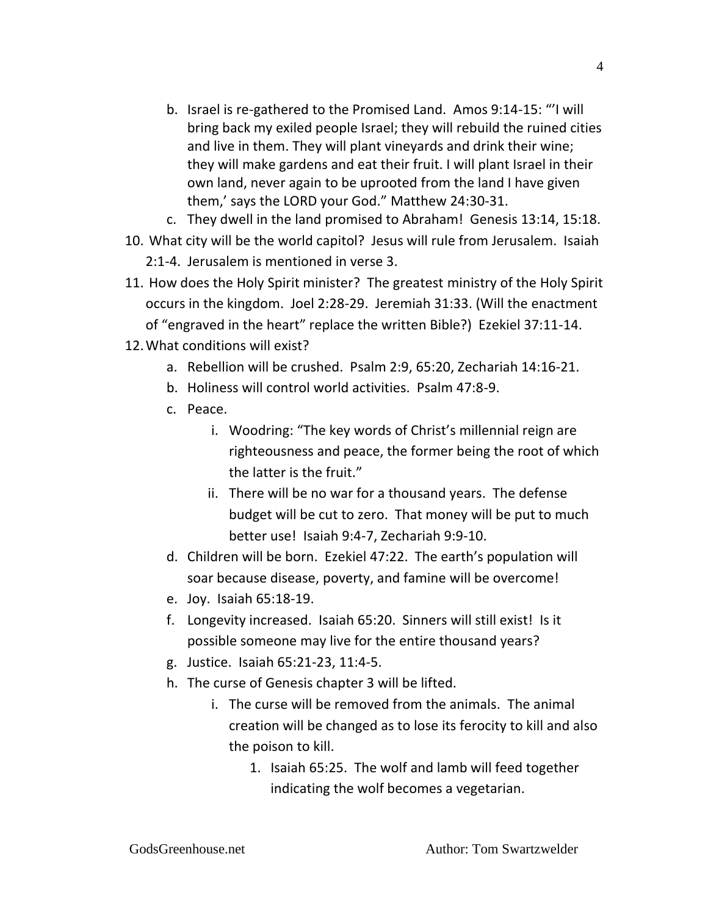- b. Israel is re-gathered to the Promised Land. Amos 9:14-15: "'I will bring back my exiled people Israel; they will rebuild the ruined cities and live in them. They will plant vineyards and drink their wine; they will make gardens and eat their fruit. I will plant Israel in their own land, never again to be uprooted from the land I have given them,' says the LORD your God." Matthew 24:30-31.
- c. They dwell in the land promised to Abraham! Genesis 13:14, 15:18.
- 10. What city will be the world capitol? Jesus will rule from Jerusalem. Isaiah 2:1-4. Jerusalem is mentioned in verse 3.
- 11. How does the Holy Spirit minister? The greatest ministry of the Holy Spirit occurs in the kingdom. Joel 2:28-29. Jeremiah 31:33. (Will the enactment of "engraved in the heart" replace the written Bible?) Ezekiel 37:11-14.
- 12.What conditions will exist?
	- a. Rebellion will be crushed. Psalm 2:9, 65:20, Zechariah 14:16-21.
	- b. Holiness will control world activities. Psalm 47:8-9.
	- c. Peace.
		- i. Woodring: "The key words of Christ's millennial reign are righteousness and peace, the former being the root of which the latter is the fruit."
		- ii. There will be no war for a thousand years. The defense budget will be cut to zero. That money will be put to much better use! Isaiah 9:4-7, Zechariah 9:9-10.
	- d. Children will be born. Ezekiel 47:22. The earth's population will soar because disease, poverty, and famine will be overcome!
	- e. Joy. Isaiah 65:18-19.
	- f. Longevity increased. Isaiah 65:20. Sinners will still exist! Is it possible someone may live for the entire thousand years?
	- g. Justice. Isaiah 65:21-23, 11:4-5.
	- h. The curse of Genesis chapter 3 will be lifted.
		- i. The curse will be removed from the animals. The animal creation will be changed as to lose its ferocity to kill and also the poison to kill.
			- 1. Isaiah 65:25. The wolf and lamb will feed together indicating the wolf becomes a vegetarian.